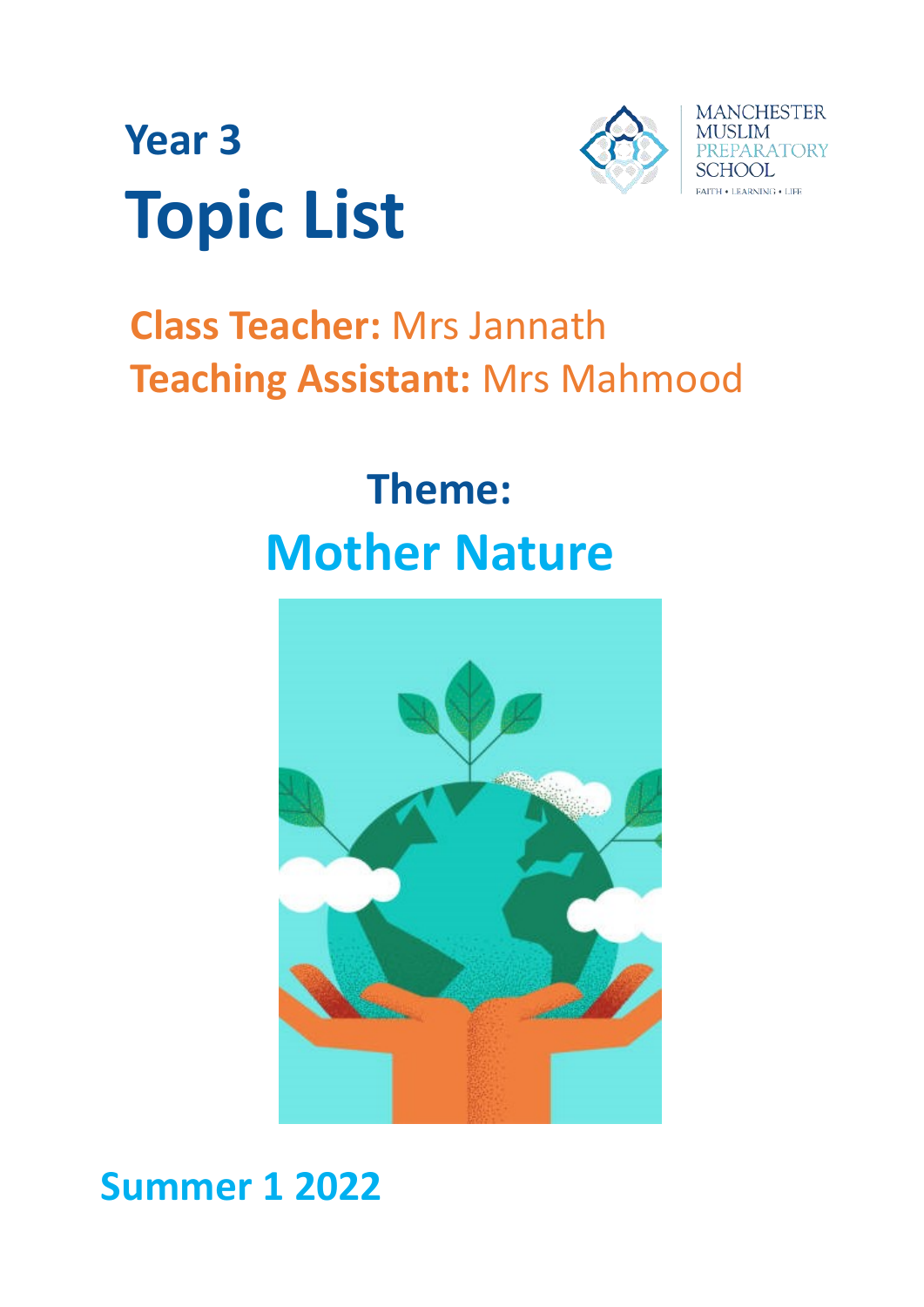# **Year 3 Topic List**



## **Class Teacher:** Mrs Jannath **Teaching Assistant:** Mrs Mahmood

# **Theme: Mother Nature**



### **Summer 1 2022**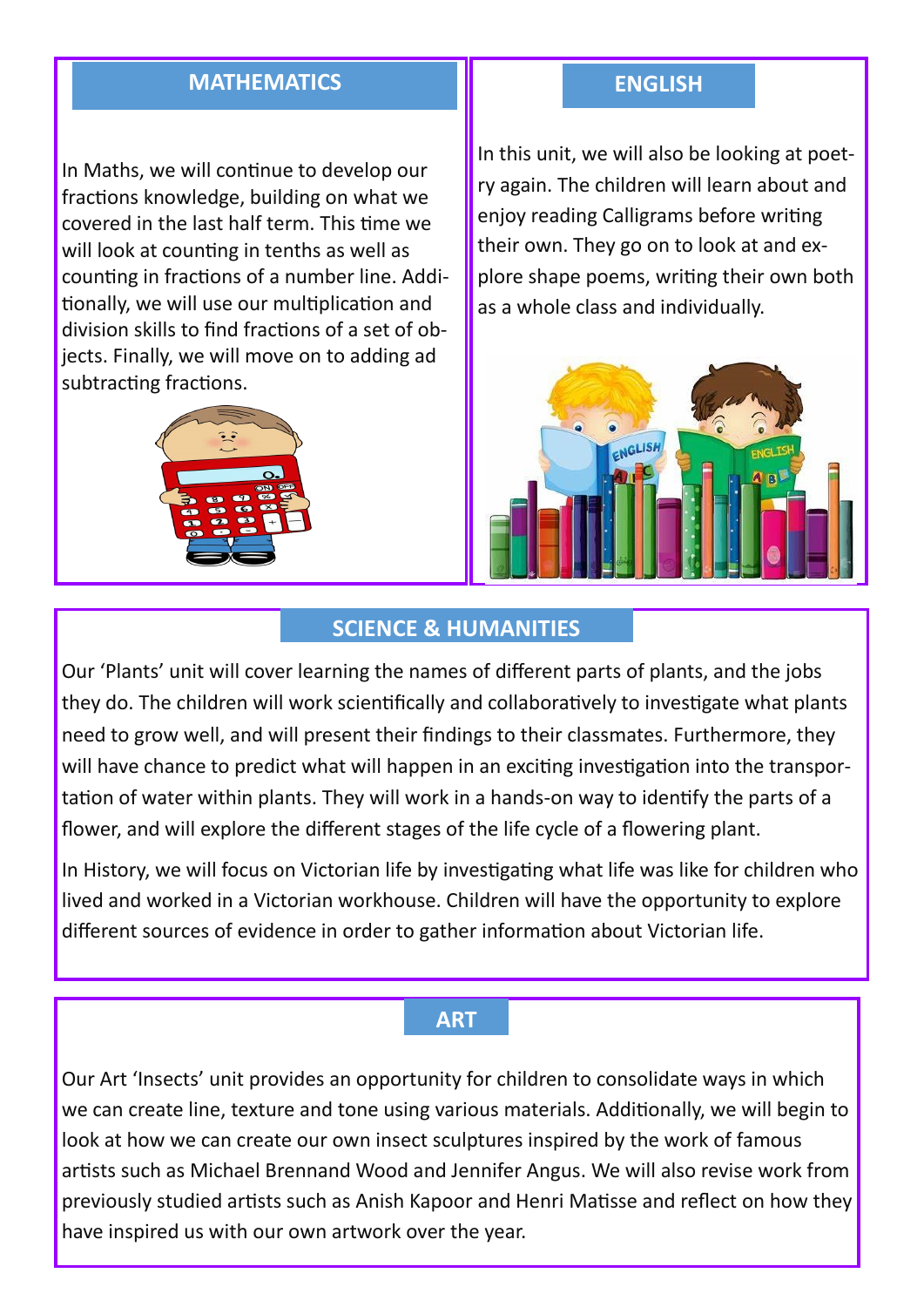#### **MATHEMATICS ENGLISH**

In Maths, we will continue to develop our fractions knowledge, building on what we covered in the last half term. This time we will look at counting in tenths as well as counting in fractions of a number line. Additionally, we will use our multiplication and division skills to find fractions of a set of objects. Finally, we will move on to adding ad subtracting fractions.

In this unit, we will also be looking at poetry again. The children will learn about and enjoy reading Calligrams before writing their own. They go on to look at and explore shape poems, writing their own both as a whole class and individually.



#### **SCIENCE & HUMANITIES**

Our 'Plants' unit will cover learning the names of different parts of plants, and the jobs they do. The children will work scientifically and collaboratively to investigate what plants need to grow well, and will present their findings to their classmates. Furthermore, they will have chance to predict what will happen in an exciting investigation into the transportation of water within plants. They will work in a hands-on way to identify the parts of a flower, and will explore the different stages of the life cycle of a flowering plant.

In History, we will focus on Victorian life by investigating what life was like for children who lived and worked in a Victorian workhouse. Children will have the opportunity to explore different sources of evidence in order to gather information about Victorian life.

#### **ART**

Our Art 'Insects' unit provides an opportunity for children to consolidate ways in which we can create line, texture and tone using various materials. Additionally, we will begin to look at how we can create our own insect sculptures inspired by the work of famous artists such as Michael Brennand Wood and Jennifer Angus. We will also revise work from previously studied artists such as Anish Kapoor and Henri Matisse and reflect on how they have inspired us with our own artwork over the year.